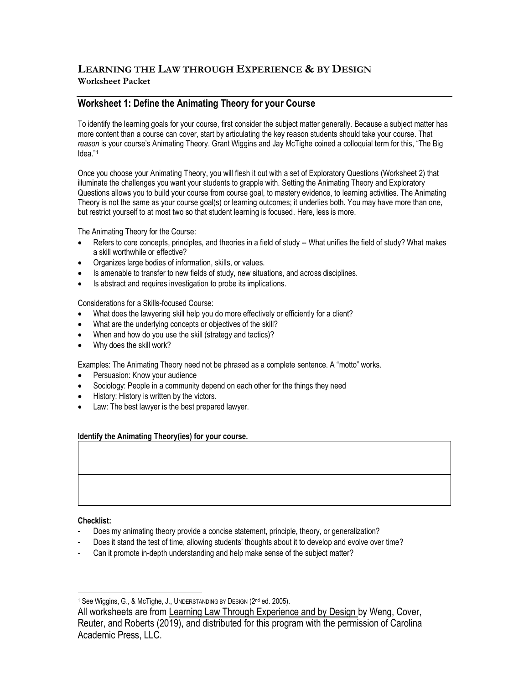# **LEARNING THE LAW THROUGH EXPERIENCE & BY DESIGN Worksheet Packet**

## **Worksheet 1: Define the Animating Theory for your Course**

To identify the learning goals for your course, first consider the subject matter generally. Because a subject matter has more content than a course can cover, start by articulating the key reason students should take your course. That *reason* is your course's Animating Theory. Grant Wiggins and Jay McTighe coined a colloquial term for this, "The Big Idea." 1

Once you choose your Animating Theory, you will flesh it out with a set of Exploratory Questions (Worksheet 2) that illuminate the challenges you want your students to grapple with. Setting the Animating Theory and Exploratory Questions allows you to build your course from course goal, to mastery evidence, to learning activities. The Animating Theory is not the same as your course goal(s) or learning outcomes; it underlies both. You may have more than one, but restrict yourself to at most two so that student learning is focused. Here, less is more.

The Animating Theory for the Course:

- Refers to core concepts, principles, and theories in a field of study -- What unifies the field of study? What makes a skill worthwhile or effective?
- Organizes large bodies of information, skills, or values.
- Is amenable to transfer to new fields of study, new situations, and across disciplines.
- Is abstract and requires investigation to probe its implications.

Considerations for a Skills-focused Course:

- What does the lawyering skill help you do more effectively or efficiently for a client?
- What are the underlying concepts or objectives of the skill?
- When and how do you use the skill (strategy and tactics)?
- Why does the skill work?

Examples: The Animating Theory need not be phrased as a complete sentence. A "motto" works.

- Persuasion: Know your audience
- Sociology: People in a community depend on each other for the things they need
- History: History is written by the victors.
- Law: The best lawyer is the best prepared lawyer.

#### **Identify the Animating Theory(ies) for your course.**

#### **Checklist:**

- Does my animating theory provide a concise statement, principle, theory, or generalization?
- Does it stand the test of time, allowing students' thoughts about it to develop and evolve over time?
- Can it promote in-depth understanding and help make sense of the subject matter?

<sup>&</sup>lt;sup>1</sup> See Wiggins, G., & McTighe, J., UNDERSTANDING BY DESIGN (2<sup>nd</sup> ed. 2005).

All worksheets are from Learning Law Through Experience and by Design by Weng, Cover, Reuter, and Roberts (2019), and distributed for this program with the permission of Carolina Academic Press, LLC.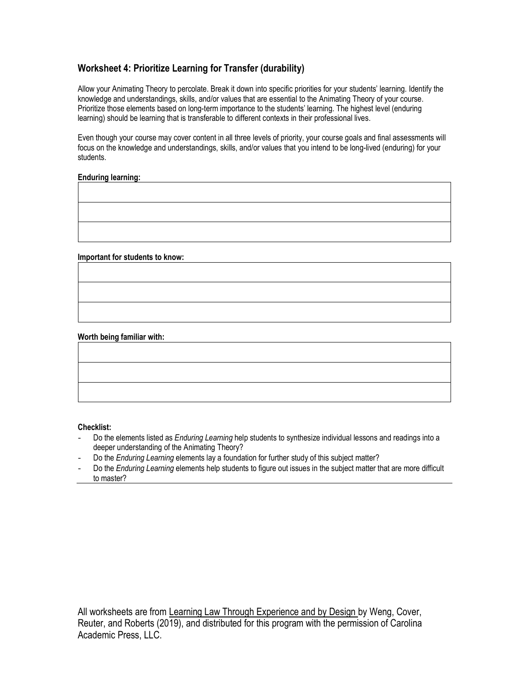## **Worksheet 4: Prioritize Learning for Transfer (durability)**

Allow your Animating Theory to percolate. Break it down into specific priorities for your students' learning. Identify the knowledge and understandings, skills, and/or values that are essential to the Animating Theory of your course. Prioritize those elements based on long-term importance to the students' learning. The highest level (enduring learning) should be learning that is transferable to different contexts in their professional lives.

Even though your course may cover content in all three levels of priority, your course goals and final assessments will focus on the knowledge and understandings, skills, and/or values that you intend to be long-lived (enduring) for your students.

#### **Enduring learning:**

#### **Important for students to know:**

#### **Worth being familiar with:**

#### **Checklist:**

- Do the elements listed as *Enduring Learning* help students to synthesize individual lessons and readings into a deeper understanding of the Animating Theory?
- Do the *Enduring Learning* elements lay a foundation for further study of this subject matter?
- Do the *Enduring Learning* elements help students to figure out issues in the subject matter that are more difficult to master?

All worksheets are from Learning Law Through Experience and by Design by Weng, Cover, Reuter, and Roberts (2019), and distributed for this program with the permission of Carolina Academic Press, LLC.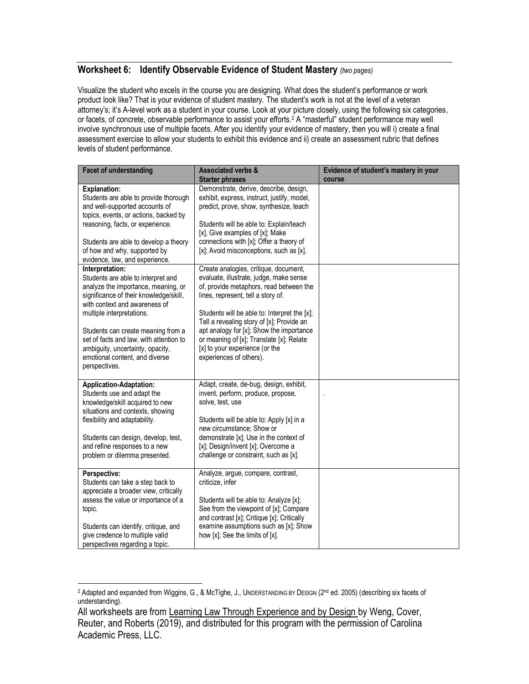### **Worksheet 6: Identify Observable Evidence of Student Mastery** *(two pages)*

Visualize the student who excels in the course you are designing. What does the student's performance or work product look like? That is your evidence of student mastery. The student's work is not at the level of a veteran attorney's; it's A-level work as a student in your course. Look at your picture closely, using the following six categories, or facets, of concrete, observable performance to assist your efforts.<sup>2</sup> A "masterful" student performance may well involve synchronous use of multiple facets. After you identify your evidence of mastery, then you will i) create a final assessment exercise to allow your students to exhibit this evidence and ii) create an assessment rubric that defines levels of student performance.

| <b>Facet of understanding</b>                                                                                                                                                                                                                                                                                                                                                | <b>Associated verbs &amp;</b><br><b>Starter phrases</b>                                                                                                                                                                                                                                                                                                                                                             | Evidence of student's mastery in your<br>course |
|------------------------------------------------------------------------------------------------------------------------------------------------------------------------------------------------------------------------------------------------------------------------------------------------------------------------------------------------------------------------------|---------------------------------------------------------------------------------------------------------------------------------------------------------------------------------------------------------------------------------------------------------------------------------------------------------------------------------------------------------------------------------------------------------------------|-------------------------------------------------|
| <b>Explanation:</b><br>Students are able to provide thorough<br>and well-supported accounts of<br>topics, events, or actions, backed by<br>reasoning, facts, or experience.<br>Students are able to develop a theory<br>of how and why, supported by<br>evidence, law, and experience.                                                                                       | Demonstrate, derive, describe, design,<br>exhibit, express, instruct, justify, model,<br>predict, prove, show, synthesize, teach<br>Students will be able to: Explain/teach<br>[x], Give examples of [x]; Make<br>connections with [x]; Offer a theory of<br>[x]; Avoid misconceptions, such as [x].                                                                                                                |                                                 |
| Interpretation:<br>Students are able to interpret and<br>analyze the importance, meaning, or<br>significance of their knowledge/skill,<br>with context and awareness of<br>multiple interpretations.<br>Students can create meaning from a<br>set of facts and law, with attention to<br>ambiguity, uncertainty, opacity,<br>emotional content, and diverse<br>perspectives. | Create analogies, critique, document,<br>evaluate, illustrate, judge, make sense<br>of, provide metaphors, read between the<br>lines, represent, tell a story of.<br>Students will be able to: Interpret the [x];<br>Tell a revealing story of [x]; Provide an<br>apt analogy for [x]; Show the importance<br>or meaning of [x]; Translate [x]; Relate<br>[x] to your experience (or the<br>experiences of others). |                                                 |
| <b>Application-Adaptation:</b><br>Students use and adapt the<br>knowledge/skill acquired to new<br>situations and contexts, showing<br>flexibility and adaptability.<br>Students can design, develop, test,<br>and refine responses to a new<br>problem or dilemma presented.                                                                                                | Adapt, create, de-bug, design, exhibit,<br>invent, perform, produce, propose,<br>solve, test, use<br>Students will be able to: Apply [x] in a<br>new circumstance; Show or<br>demonstrate [x]; Use in the context of<br>[x]; Design/invent [x]; Overcome a<br>challenge or constraint, such as [x].                                                                                                                 |                                                 |
| Perspective:<br>Students can take a step back to<br>appreciate a broader view, critically<br>assess the value or importance of a<br>topic.<br>Students can identify, critique, and<br>give credence to multiple valid<br>perspectives regarding a topic.                                                                                                                     | Analyze, argue, compare, contrast,<br>criticize, infer<br>Students will be able to: Analyze [x];<br>See from the viewpoint of [x]; Compare<br>and contrast [x]; Critique [x]; Critically<br>examine assumptions such as [x]; Show<br>how [x]; See the limits of [x].                                                                                                                                                |                                                 |

<sup>&</sup>lt;sup>2</sup> Adapted and expanded from Wiggins, G., & McTighe, J., UNDERSTANDING BY DESIGN (2<sup>nd</sup> ed. 2005) (describing six facets of understanding).

All worksheets are from Learning Law Through Experience and by Design by Weng, Cover, Reuter, and Roberts (2019), and distributed for this program with the permission of Carolina Academic Press, LLC.